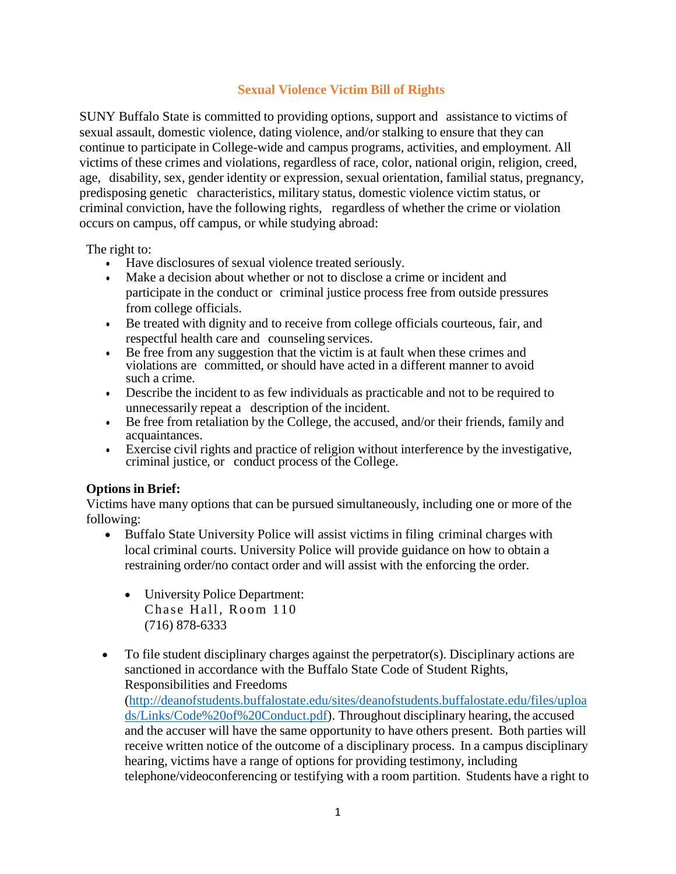## **Sexual Violence Victim Bill of Rights**

SUNY Buffalo State is committed to providing options, support and assistance to victims of sexual assault, domestic violence, dating violence, and/or stalking to ensure that they can continue to participate in College-wide and campus programs, activities, and employment. All victims of these crimes and violations, regardless of race, color, national origin, religion, creed, age, disability, sex, gender identity or expression, sexual orientation, familial status, pregnancy, predisposing genetic characteristics, military status, domestic violence victim status, or criminal conviction, have the following rights, regardless of whether the crime or violation occurs on campus, off campus, or while studying abroad:

The right to:

- Have disclosures of sexual violence treated seriously.
- Make a decision about whether or not to disclose a crime or incident and participate in the conduct or criminal justice process free from outside pressures from college officials.
- Be treated with dignity and to receive from college officials courteous, fair, and respectful health care and counseling services.
- Be free from any suggestion that the victim is at fault when these crimes and violations are committed, or should have acted in a different manner to avoid such a crime.
- Describe the incident to as few individuals as practicable and not to be required to unnecessarily repeat a description of the incident.
- Be free from retaliation by the College, the accused, and/or their friends, family and acquaintances.
- Exercise civil rights and practice of religion without interference by the investigative, criminal justice, or conduct process of the College.

## **Options in Brief:**

Victims have many options that can be pursued simultaneously, including one or more of the following:

- Buffalo State University Police will assist victims in filing criminal charges with local criminal courts. University Police will provide guidance on how to obtain a restraining order/no contact order and will assist with the enforcing the order.
	- University Police Department: Chase Hall, Room 110 (716) 878-6333
- To file student disciplinary charges against the perpetrator(s). Disciplinary actions are sanctioned in accordance with the Buffalo State Code of Student Rights, Responsibilities and Freedoms

[\(http://deanofstudents.buffalostate.edu/sites/deanofstudents.buffalostate.edu/files/uploa](http://deanofstudents.buffalostate.edu/sites/deanofstudents.buffalostate.edu/files/uploads/Links/Code%20of%20Conduct.pdf) [ds/Links/Code%20of%20Conduct.pdf\)](http://deanofstudents.buffalostate.edu/sites/deanofstudents.buffalostate.edu/files/uploads/Links/Code%20of%20Conduct.pdf). Throughout disciplinary hearing, the accused and the accuser will have the same opportunity to have others present. Both parties will receive written notice of the outcome of a disciplinary process. In a campus disciplinary hearing, victims have a range of options for providing testimony, including telephone/videoconferencing or testifying with a room partition. Students have a right to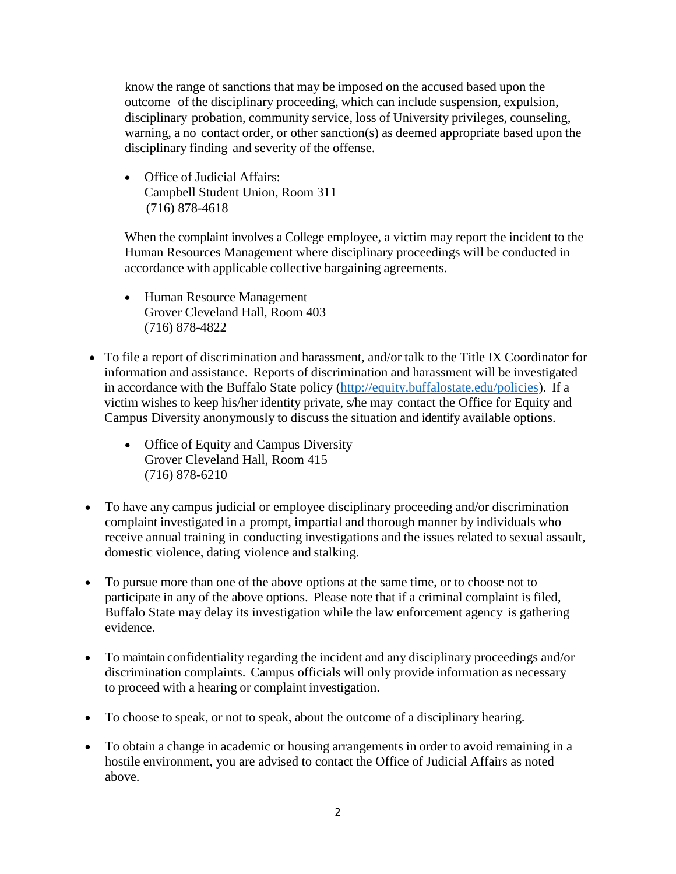know the range of sanctions that may be imposed on the accused based upon the outcome of the disciplinary proceeding, which can include suspension, expulsion, disciplinary probation, community service, loss of University privileges, counseling, warning, a no contact order, or other sanction(s) as deemed appropriate based upon the disciplinary finding and severity of the offense.

• Office of Judicial Affairs: Campbell Student Union, Room 311 (716) 878-4618

When the complaint involves a College employee, a victim may report the incident to the Human Resources Management where disciplinary proceedings will be conducted in accordance with applicable collective bargaining agreements.

- Human Resource Management Grover Cleveland Hall, Room 403 (716) 878-4822
- To file a report of discrimination and harassment, and/or talk to the Title IX Coordinator for information and assistance. Reports of discrimination and harassment will be investigated in accordance with the Buffalo State policy [\(http://equity.buffalostate.edu/policies\)](http://equity.buffalostate.edu/policies). If a victim wishes to keep his/her identity private, s/he may contact the Office for Equity and Campus Diversity anonymously to discuss the situation and identify available options.
	- Office of Equity and Campus Diversity Grover Cleveland Hall, Room 415 (716) 878-6210
- To have any campus judicial or employee disciplinary proceeding and/or discrimination complaint investigated in a prompt, impartial and thorough manner by individuals who receive annual training in conducting investigations and the issues related to sexual assault, domestic violence, dating violence and stalking.
- To pursue more than one of the above options at the same time, or to choose not to participate in any of the above options. Please note that if a criminal complaint is filed, Buffalo State may delay its investigation while the law enforcement agency is gathering evidence.
- To maintain confidentiality regarding the incident and any disciplinary proceedings and/or discrimination complaints. Campus officials will only provide information as necessary to proceed with a hearing or complaint investigation.
- To choose to speak, or not to speak, about the outcome of a disciplinary hearing.
- To obtain a change in academic or housing arrangements in order to avoid remaining in a hostile environment, you are advised to contact the Office of Judicial Affairs as noted above.